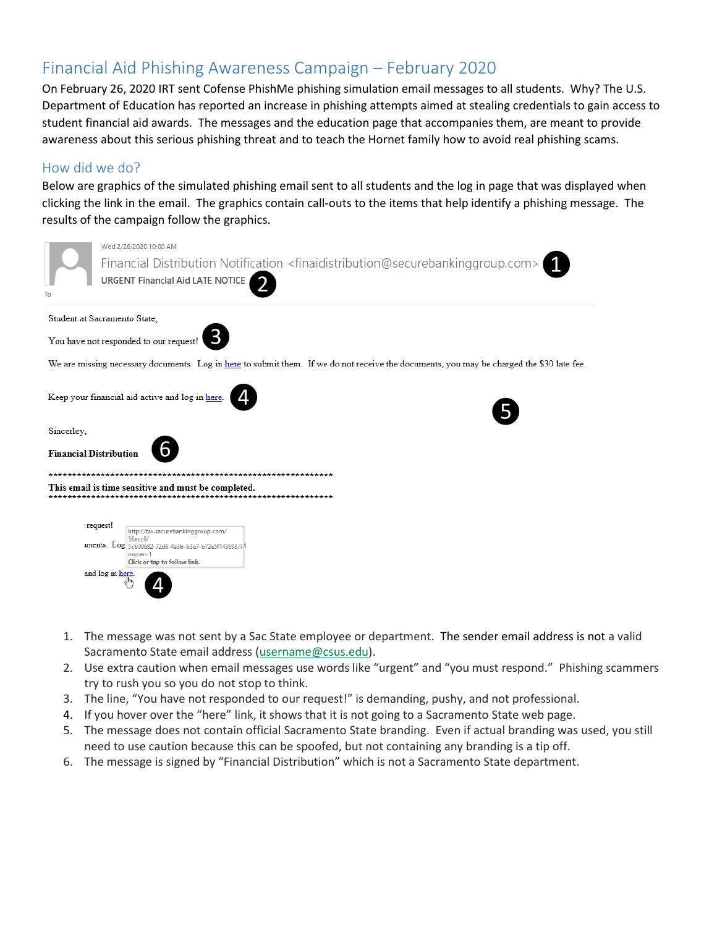# Financial Aid Phishing Awareness Campaign – February 2020

On February 26, 2020 IRT sent Cofense PhishMe phishing simulation email messages to all students. Why? The U.S. Department of Education has reported an increase in phishing attempts aimed at stealing credentials to gain access to student financial aid awards. The messages and the education page that accompanies them, are meant to provide awareness about this serious phishing threat and to teach the Hornet family how to avoid real phishing scams.

### How did we do?

Below are graphics of the simulated phishing email sent to all students and the log in page that was displayed when clicking the link in the email. The graphics contain call-outs to the items that help identify a phishing message. The results of the campaign follow the graphics.

| To                                                                                                                                                                                                                                      | Wed 2/26/2020 10:00 AM<br>Financial Distribution Notification <finaidistribution@securebankinggroup.com><br/><b>URGENT Financial Aid LATE NOTICE</b></finaidistribution@securebankinggroup.com> |  |  |  |
|-----------------------------------------------------------------------------------------------------------------------------------------------------------------------------------------------------------------------------------------|-------------------------------------------------------------------------------------------------------------------------------------------------------------------------------------------------|--|--|--|
| Student at Sacramento State,                                                                                                                                                                                                            |                                                                                                                                                                                                 |  |  |  |
| You have not responded to our request!                                                                                                                                                                                                  |                                                                                                                                                                                                 |  |  |  |
| We are missing necessary documents. Log in here to submit them. If we do not receive the documents, you may be charged the \$30 late fee.                                                                                               |                                                                                                                                                                                                 |  |  |  |
| Keep your financial aid active and log in here.                                                                                                                                                                                         |                                                                                                                                                                                                 |  |  |  |
| Sincerley,                                                                                                                                                                                                                              |                                                                                                                                                                                                 |  |  |  |
| <b>Financial Distribution</b>                                                                                                                                                                                                           |                                                                                                                                                                                                 |  |  |  |
| This email is time sensitive and must be completed.<br>request!<br>http://tax.securebankinggroup.com/<br>56ессб/<br>uments. Log 5cb00682-72d6-4a3b-b3e7-b72e5f143693/?<br>$owner=1$<br>Click or tap to follow link.<br>and log in here. |                                                                                                                                                                                                 |  |  |  |

- 1. The message was not sent by a Sac State employee or department. The sender email address is not a valid Sacramento State email address (username@csus.edu).
- 2. Use extra caution when email messages use words like "urgent" and "you must respond." Phishing scammers try to rush you so you do not stop to think.
- 3. The line, "You have not responded to our request!" is demanding, pushy, and not professional.
- 4. If you hover over the "here" link, it shows that it is not going to a Sacramento State web page.
- 5. The message does not contain official Sacramento State branding. Even if actual branding was used, you still need to use caution because this can be spoofed, but not containing any branding is a tip off.
- 6. The message is signed by "Financial Distribution" which is not a Sacramento State department.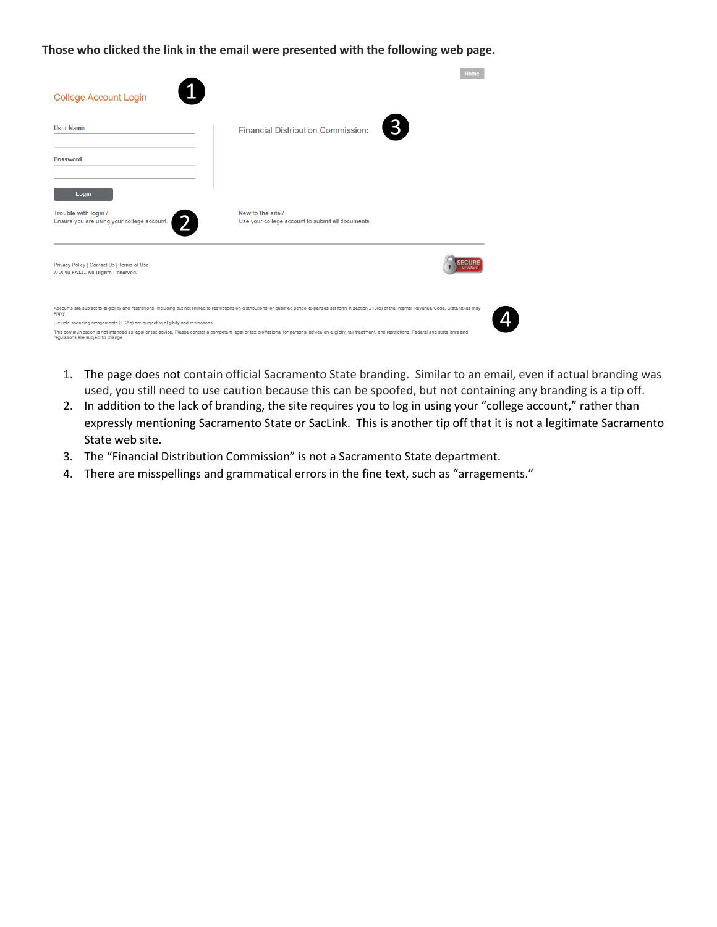**Those who clicked the link in the email were presented with the following web page.**

|                                                                                                                                                                                                                                                    | Home                                                                  |  |  |  |
|----------------------------------------------------------------------------------------------------------------------------------------------------------------------------------------------------------------------------------------------------|-----------------------------------------------------------------------|--|--|--|
| <b>College Account Login</b>                                                                                                                                                                                                                       |                                                                       |  |  |  |
| <b>User Name</b>                                                                                                                                                                                                                                   | $\mathbf{3}$<br><b>Financial Distribution Commission:</b>             |  |  |  |
| Password                                                                                                                                                                                                                                           |                                                                       |  |  |  |
| Login                                                                                                                                                                                                                                              |                                                                       |  |  |  |
| <b>Trouble with login?</b><br>Ensure you are using your college account.                                                                                                                                                                           | New to the site?<br>Use your college account to submit all documents. |  |  |  |
| Privacy Policy   Contact Us   Terms of Use<br>© 2019 FASC. All Rights Reserved.                                                                                                                                                                    |                                                                       |  |  |  |
| Accounts are subject to eligibility and restrictions, including but not limited to restrictions on distributions for qualified school expenses set forth in section 213(d) of the internal Revenue Code. State taxes may<br>apply.                 |                                                                       |  |  |  |
| Flexible spending arragements (FSAs) are subject to eligibity and restrictions.                                                                                                                                                                    |                                                                       |  |  |  |
| This communication is not intended as legal or tax advice. Please contact a competent legal or tax proffesional for personal advice on eligibity, tax treatment, and restrictions. Federal and state laws and<br>regulations are subject to change |                                                                       |  |  |  |

- 1. The page does not contain official Sacramento State branding. Similar to an email, even if actual branding was used, you still need to use caution because this can be spoofed, but not containing any branding is a tip off.
- 2. In addition to the lack of branding, the site requires you to log in using your "college account," rather than expressly mentioning Sacramento State or SacLink. This is another tip off that it is not a legitimate Sacramento State web site.
- 3. The "Financial Distribution Commission" is not a Sacramento State department.
- 4. There are misspellings and grammatical errors in the fine text, such as "arragements."